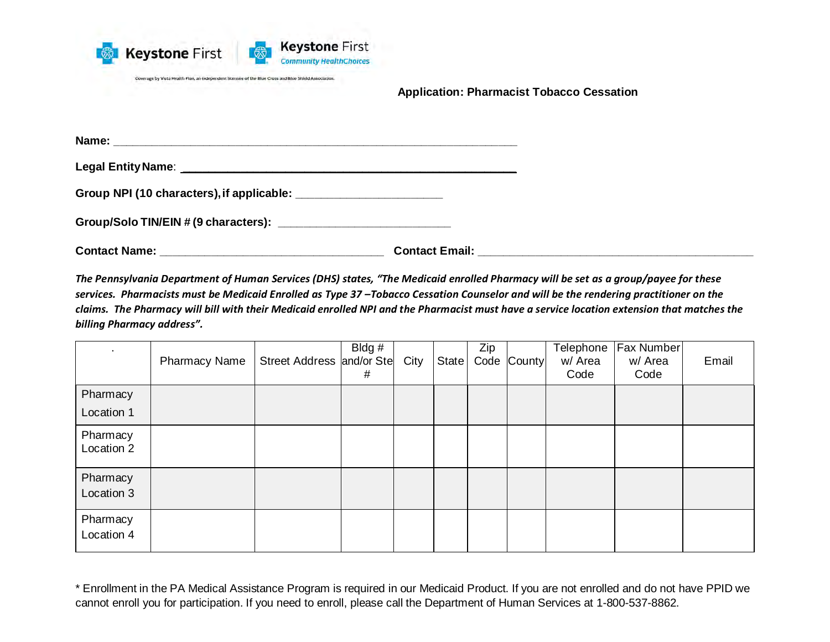

**Application: Pharmacist Tobacco Cessation**

**Contact Name: Contact Email: Contact Email: Contact Email: Contact Email: Contact Email: Contact Email: Contact Email: Contact Email: Contact Email: Contact Email: Contact Email: Contact Email: C** 

*The Pennsylvania Department of Human Services (DHS) states, "The Medicaid enrolled Pharmacy will be set as a group/payee for these services. Pharmacists must be Medicaid Enrolled as Type 37 –Tobacco Cessation Counselor and will be the rendering practitioner on the claims. The Pharmacy will bill with their Medicaid enrolled NPI and the Pharmacist must have a service location extension that matches the billing Pharmacy address".* 

| ٠                      | <b>Pharmacy Name</b> | Street Address and/or Ste | Bldg #<br># | City | State | Zip | Code County | Telephone<br>w/ Area<br>Code | Fax Number<br>w/ Area<br>Code | Email |
|------------------------|----------------------|---------------------------|-------------|------|-------|-----|-------------|------------------------------|-------------------------------|-------|
| Pharmacy               |                      |                           |             |      |       |     |             |                              |                               |       |
| Location 1             |                      |                           |             |      |       |     |             |                              |                               |       |
| Pharmacy<br>Location 2 |                      |                           |             |      |       |     |             |                              |                               |       |
| Pharmacy<br>Location 3 |                      |                           |             |      |       |     |             |                              |                               |       |
| Pharmacy<br>Location 4 |                      |                           |             |      |       |     |             |                              |                               |       |

<sup>\*</sup> Enrollment in the PA Medical Assistance Program is required in our Medicaid Product. If you are not enrolled and do not have PPID we cannot enroll you for participation. If you need to enroll, please call the Department of Human Services at 1-800-537-8862.